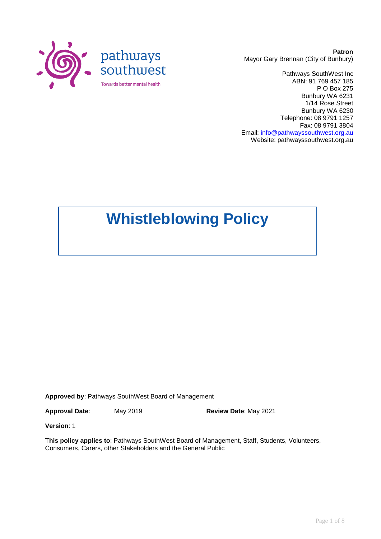

**Patron** Mayor Gary Brennan (City of Bunbury)

Pathways SouthWest Inc ABN: 91 769 457 185 P O Box 275 Bunbury WA 6231 1/14 Rose Street Bunbury WA 6230 Telephone: 08 9791 1257 Fax: 08 9791 3804 Email: [info@pathwayssouthwest.org.au](mailto:info@pathwayssouthwest.org.au) Website: pathwayssouthwest.org.au

**Whistleblowing Policy**

**Approved by**: Pathways SouthWest Board of Management

**Approval Date**: May 2019 **Review Date**: May 2021

**Version**: 1

T**his policy applies to**: Pathways SouthWest Board of Management, Staff, Students, Volunteers, Consumers, Carers, other Stakeholders and the General Public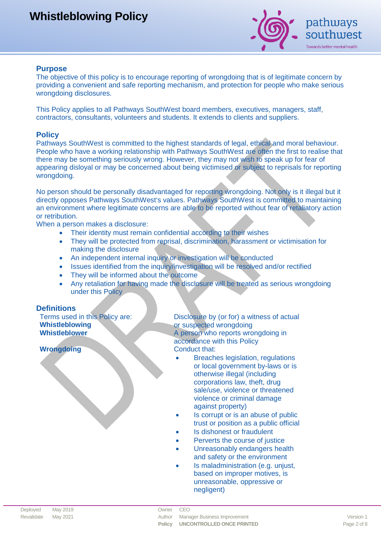

#### **Purpose**

The objective of this policy is to encourage reporting of wrongdoing that is of legitimate concern by providing a convenient and safe reporting mechanism, and protection for people who make serious wrongdoing disclosures.

This Policy applies to all Pathways SouthWest board members, executives, managers, staff, contractors, consultants, volunteers and students. It extends to clients and suppliers.

#### **Policy**

Pathways SouthWest is committed to the highest standards of legal, ethical and moral behaviour. People who have a working relationship with Pathways SouthWest are often the first to realise that there may be something seriously wrong. However, they may not wish to speak up for fear of appearing disloyal or may be concerned about being victimised or subject to reprisals for reporting wrongdoing.

No person should be personally disadvantaged for reporting wrongdoing. Not only is it illegal but it directly opposes Pathways SouthWest's values. Pathways SouthWest is committed to maintaining an environment where legitimate concerns are able to be reported without fear of retaliatory action or retribution.

When a person makes a disclosure:

- Their identity must remain confidential according to their wishes
- They will be protected from reprisal, discrimination, harassment or victimisation for making the disclosure
- An independent internal inquiry or investigation will be conducted
- Issues identified from the inquiry/investigation will be resolved and/or rectified
- They will be informed about the outcome
- Any retaliation for having made the disclosure will be treated as serious wrongdoing under this Policy

#### **Definitions**

Terms used in this Policy are: **Whistleblowing**

**Wrongdoing Conduct that:** 

Disclosure by (or for) a witness of actual or suspected wrongdoing A person who reports wrongdoing in accordance with this Policy

- Breaches legislation, regulations or local government by-laws or is otherwise illegal (including corporations law, theft, drug sale/use, violence or threatened violence or criminal damage against property)
- Is corrupt or is an abuse of public trust or position as a public official
- Is dishonest or fraudulent
- Perverts the course of justice
- Unreasonably endangers health and safety or the environment
- Is maladministration (e.g. unjust, based on improper motives, is unreasonable, oppressive or negligent)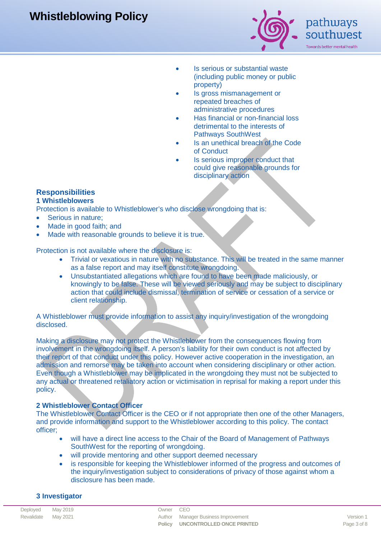

pathways southwest

Towards better mental health

- Is serious or substantial waste (including public money or public property)
- Is gross mismanagement or repeated breaches of administrative procedures
- Has financial or non-financial loss detrimental to the interests of Pathways SouthWest
- Is an unethical breach of the Code of Conduct
- Is serious improper conduct that could give reasonable grounds for disciplinary action

### **Responsibilities**

### **1 Whistleblowers**

Protection is available to Whistleblower's who disclose wrongdoing that is:

- Serious in nature;
- Made in good faith; and
- Made with reasonable grounds to believe it is true.

Protection is not available where the disclosure is:

- Trivial or vexatious in nature with no substance. This will be treated in the same manner as a false report and may itself constitute wrongdoing.
- Unsubstantiated allegations which are found to have been made maliciously, or knowingly to be false. These will be viewed seriously and may be subject to disciplinary action that could include dismissal, termination of service or cessation of a service or client relationship.

A Whistleblower must provide information to assist any inquiry/investigation of the wrongdoing disclosed.

Making a disclosure may not protect the Whistleblower from the consequences flowing from involvement in the wrongdoing itself. A person's liability for their own conduct is not affected by their report of that conduct under this policy. However active cooperation in the investigation, an admission and remorse may be taken into account when considering disciplinary or other action. Even though a Whistleblower may be implicated in the wrongdoing they must not be subjected to any actual or threatened retaliatory action or victimisation in reprisal for making a report under this policy.

#### **2 Whistleblower Contact Officer**

The Whistleblower Contact Officer is the CEO or if not appropriate then one of the other Managers, and provide information and support to the Whistleblower according to this policy. The contact officer;

- will have a direct line access to the Chair of the Board of Management of Pathways SouthWest for the reporting of wrongdoing.
- will provide mentoring and other support deemed necessary
- is responsible for keeping the Whistleblower informed of the progress and outcomes of the inquiry/investigation subject to considerations of privacy of those against whom a disclosure has been made.

### **3 Investigator**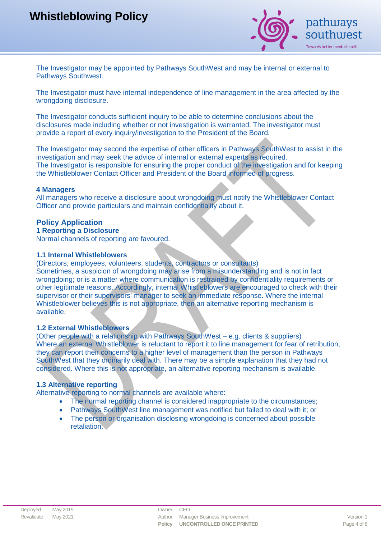

The Investigator may be appointed by Pathways SouthWest and may be internal or external to Pathways Southwest.

The Investigator must have internal independence of line management in the area affected by the wrongdoing disclosure.

The Investigator conducts sufficient inquiry to be able to determine conclusions about the disclosures made including whether or not investigation is warranted. The investigator must provide a report of every inquiry/investigation to the President of the Board.

The Investigator may second the expertise of other officers in Pathways SouthWest to assist in the investigation and may seek the advice of internal or external experts as required. The Investigator is responsible for ensuring the proper conduct of the investigation and for keeping the Whistleblower Contact Officer and President of the Board informed of progress.

#### **4 Managers**

All managers who receive a disclosure about wrongdoing must notify the Whistleblower Contact Officer and provide particulars and maintain confidentiality about it.

#### **Policy Application**

#### **1 Reporting a Disclosure**

Normal channels of reporting are favoured.

#### **1.1 Internal Whistleblowers**

(Directors, employees, volunteers, students, contractors or consultants) Sometimes, a suspicion of wrongdoing may arise from a misunderstanding and is not in fact wrongdoing; or is a matter where communication is restrained by confidentiality requirements or other legitimate reasons. Accordingly, internal Whistleblowers are encouraged to check with their supervisor or their supervisors' manager to seek an immediate response. Where the internal Whistleblower believes this is not appropriate, then an alternative reporting mechanism is available.

#### **1.2 External Whistleblowers**

(Other people with a relationship with Pathways SouthWest – e.g. clients & suppliers) Where an external Whistleblower is reluctant to report it to line management for fear of retribution, they can report their concerns to a higher level of management than the person in Pathways SouthWest that they ordinarily deal with. There may be a simple explanation that they had not considered. Where this is not appropriate, an alternative reporting mechanism is available.

#### **1.3 Alternative reporting**

Alternative reporting to normal channels are available where:

- The normal reporting channel is considered inappropriate to the circumstances;
- Pathways SouthWest line management was notified but failed to deal with it; or
- The person or organisation disclosing wrongdoing is concerned about possible retaliation.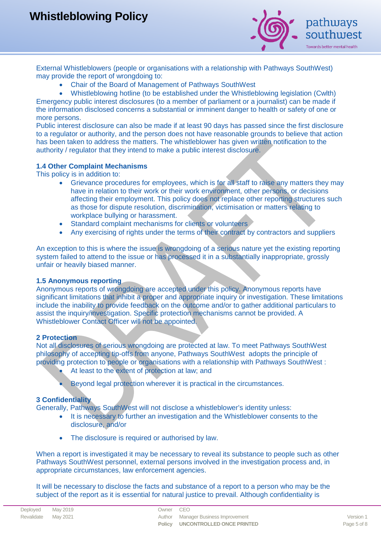

External Whistleblowers (people or organisations with a relationship with Pathways SouthWest) may provide the report of wrongdoing to:

- Chair of the Board of Management of Pathways SouthWest
- Whistleblowing hotline (to be established under the Whistleblowing legislation (Cwlth) Emergency public interest disclosures (to a member of parliament or a journalist) can be made if the information disclosed concerns a substantial or imminent danger to health or safety of one or more persons.

Public interest disclosure can also be made if at least 90 days has passed since the first disclosure to a regulator or authority, and the person does not have reasonable grounds to believe that action has been taken to address the matters. The whistleblower has given written notification to the authority / regulator that they intend to make a public interest disclosure.

#### **1.4 Other Complaint Mechanisms**

This policy is in addition to:

- Grievance procedures for employees, which is for all staff to raise any matters they may have in relation to their work or their work environment, other persons, or decisions affecting their employment. This policy does not replace other reporting structures such as those for dispute resolution, discrimination, victimisation or matters relating to workplace bullying or harassment.
- Standard complaint mechanisms for clients or volunteers
- Any exercising of rights under the terms of their contract by contractors and suppliers

An exception to this is where the issue is wrongdoing of a serious nature yet the existing reporting system failed to attend to the issue or has processed it in a substantially inappropriate, grossly unfair or heavily biased manner.

#### **1.5 Anonymous reporting**

Anonymous reports of wrongdoing are accepted under this policy. Anonymous reports have significant limitations that inhibit a proper and appropriate inquiry or investigation. These limitations include the inability to provide feedback on the outcome and/or to gather additional particulars to assist the inquiry/investigation. Specific protection mechanisms cannot be provided. A Whistleblower Contact Officer will not be appointed.

#### **2 Protection**

Not all disclosures of serious wrongdoing are protected at law. To meet Pathways SouthWest philosophy of accepting tip-offs from anyone, Pathways SouthWest adopts the principle of providing protection to people or organisations with a relationship with Pathways SouthWest :

- At least to the extent of protection at law; and
- Beyond legal protection wherever it is practical in the circumstances.

#### **3 Confidentiality**

Generally, Pathways SouthWest will not disclose a whistleblower's identity unless:

- It is necessary to further an investigation and the Whistleblower consents to the disclosure, and/or
- The disclosure is required or authorised by law.

When a report is investigated it may be necessary to reveal its substance to people such as other Pathways SouthWest personnel, external persons involved in the investigation process and, in appropriate circumstances, law enforcement agencies.

It will be necessary to disclose the facts and substance of a report to a person who may be the subject of the report as it is essential for natural justice to prevail. Although confidentiality is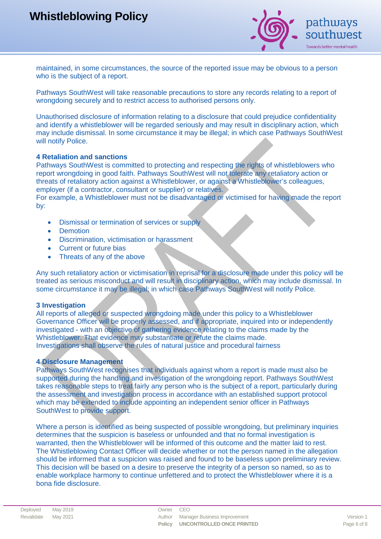

maintained, in some circumstances, the source of the reported issue may be obvious to a person who is the subject of a report.

Pathways SouthWest will take reasonable precautions to store any records relating to a report of wrongdoing securely and to restrict access to authorised persons only.

Unauthorised disclosure of information relating to a disclosure that could prejudice confidentiality and identify a whistleblower will be regarded seriously and may result in disciplinary action, which may include dismissal. In some circumstance it may be illegal; in which case Pathways SouthWest will notify Police.

#### **4 Retaliation and sanctions**

Pathways SouthWest is committed to protecting and respecting the rights of whistleblowers who report wrongdoing in good faith. Pathways SouthWest will not tolerate any retaliatory action or threats of retaliatory action against a Whistleblower, or against a Whistleblower's colleagues, employer (if a contractor, consultant or supplier) or relatives.

For example, a Whistleblower must not be disadvantaged or victimised for having made the report by:

- Dismissal or termination of services or supply
- Demotion
- Discrimination, victimisation or harassment
- Current or future bias
- Threats of any of the above

Any such retaliatory action or victimisation in reprisal for a disclosure made under this policy will be treated as serious misconduct and will result in disciplinary action, which may include dismissal. In some circumstance it may be illegal; in which case Pathways SouthWest will notify Police.

#### **3 Investigation**

All reports of alleged or suspected wrongdoing made under this policy to a Whistleblower Governance Officer will be properly assessed, and if appropriate, inquired into or independently investigated - with an objective of gathering evidence relating to the claims made by the Whistleblower. That evidence may substantiate or refute the claims made. Investigations shall observe the rules of natural justice and procedural fairness

#### **4 Disclosure Management**

Pathways SouthWest recognises that individuals against whom a report is made must also be supported during the handling and investigation of the wrongdoing report. Pathways SouthWest takes reasonable steps to treat fairly any person who is the subject of a report, particularly during the assessment and investigation process in accordance with an established support protocol which may be extended to include appointing an independent senior officer in Pathways SouthWest to provide support.

Where a person is identified as being suspected of possible wrongdoing, but preliminary inquiries determines that the suspicion is baseless or unfounded and that no formal investigation is warranted, then the Whistleblower will be informed of this outcome and the matter laid to rest. The Whistleblowing Contact Officer will decide whether or not the person named in the allegation should be informed that a suspicion was raised and found to be baseless upon preliminary review. This decision will be based on a desire to preserve the integrity of a person so named, so as to enable workplace harmony to continue unfettered and to protect the Whistleblower where it is a bona fide disclosure.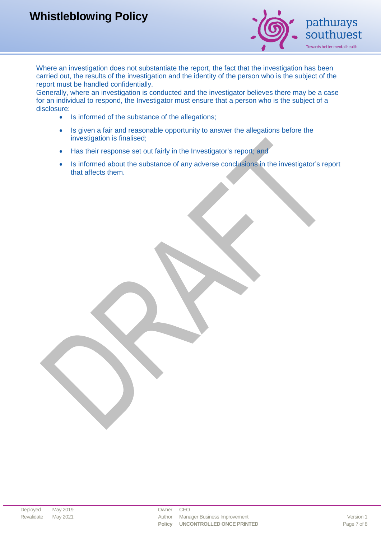

Where an investigation does not substantiate the report, the fact that the investigation has been carried out, the results of the investigation and the identity of the person who is the subject of the report must be handled confidentially.

Generally, where an investigation is conducted and the investigator believes there may be a case for an individual to respond, the Investigator must ensure that a person who is the subject of a disclosure:

- Is informed of the substance of the allegations;
- Is given a fair and reasonable opportunity to answer the allegations before the investigation is finalised;
- Has their response set out fairly in the Investigator's report: and
- Is informed about the substance of any adverse conclusions in the investigator's report that affects them.